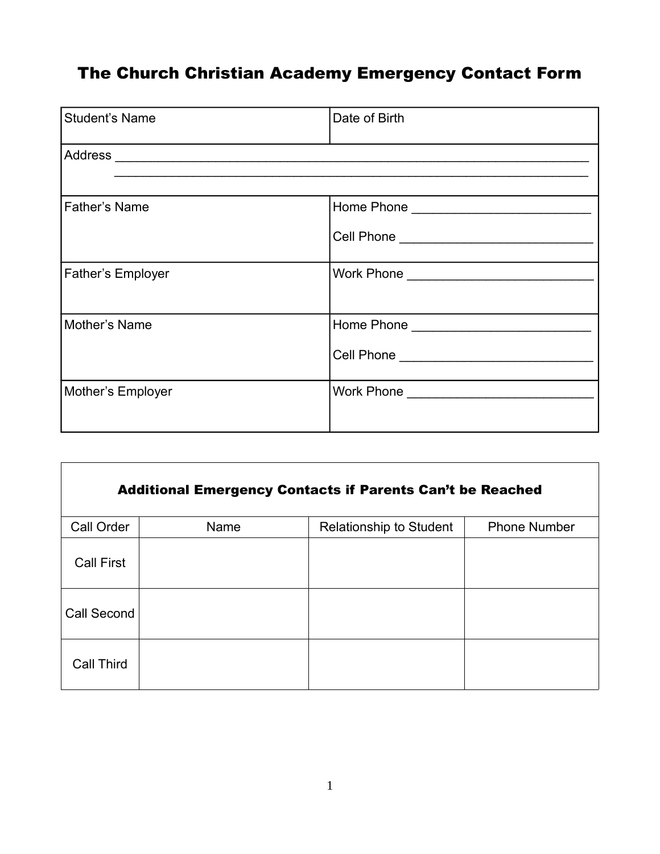## The Church Christian Academy Emergency Contact Form

| <b>Student's Name</b>    | Date of Birth |  |  |  |
|--------------------------|---------------|--|--|--|
|                          |               |  |  |  |
| <b>Father's Name</b>     |               |  |  |  |
| <b>Father's Employer</b> |               |  |  |  |
| Mother's Name            |               |  |  |  |
| Mother's Employer        |               |  |  |  |

| <b>Additional Emergency Contacts if Parents Can't be Reached</b> |      |                                |                     |  |  |  |
|------------------------------------------------------------------|------|--------------------------------|---------------------|--|--|--|
| Call Order                                                       | Name | <b>Relationship to Student</b> | <b>Phone Number</b> |  |  |  |
| <b>Call First</b>                                                |      |                                |                     |  |  |  |
| Call Second                                                      |      |                                |                     |  |  |  |
| <b>Call Third</b>                                                |      |                                |                     |  |  |  |